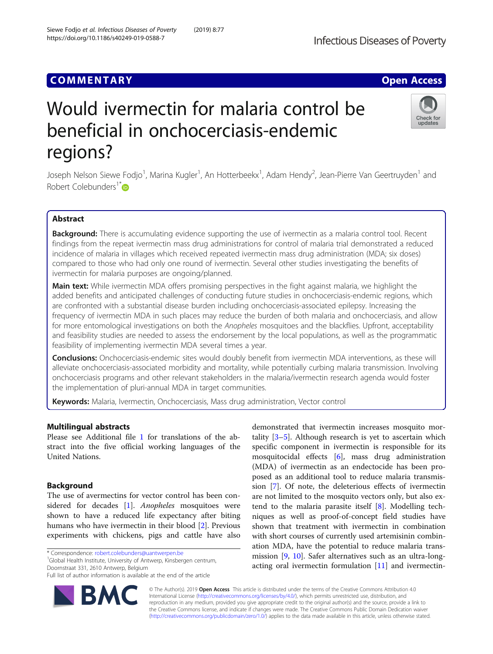## **COMMENTARY COMMENTARY COMMENTARY**

# Would ivermectin for malaria control be beneficial in onchocerciasis-endemic regions?

Joseph Nelson Siewe Fodjo<sup>1</sup>, Marina Kugler<sup>1</sup>, An Hotterbeekx<sup>1</sup>, Adam Hendy<sup>2</sup>, Jean-Pierre Van Geertruyden<sup>1</sup> and Robert Colebunders<sup>1[\\*](http://orcid.org/0000-0002-1919-1340)</sup>

## Abstract

Background: There is accumulating evidence supporting the use of ivermectin as a malaria control tool. Recent findings from the repeat ivermectin mass drug administrations for control of malaria trial demonstrated a reduced incidence of malaria in villages which received repeated ivermectin mass drug administration (MDA; six doses) compared to those who had only one round of ivermectin. Several other studies investigating the benefits of ivermectin for malaria purposes are ongoing/planned.

Main text: While ivermectin MDA offers promising perspectives in the fight against malaria, we highlight the added benefits and anticipated challenges of conducting future studies in onchocerciasis-endemic regions, which are confronted with a substantial disease burden including onchocerciasis-associated epilepsy. Increasing the frequency of ivermectin MDA in such places may reduce the burden of both malaria and onchocerciasis, and allow for more entomological investigations on both the Anopheles mosquitoes and the blackflies. Upfront, acceptability and feasibility studies are needed to assess the endorsement by the local populations, as well as the programmatic feasibility of implementing ivermectin MDA several times a year.

Conclusions: Onchocerciasis-endemic sites would doubly benefit from ivermectin MDA interventions, as these will alleviate onchocerciasis-associated morbidity and mortality, while potentially curbing malaria transmission. Involving onchocerciasis programs and other relevant stakeholders in the malaria/ivermectin research agenda would foster the implementation of pluri-annual MDA in target communities.

Keywords: Malaria, Ivermectin, Onchocerciasis, Mass drug administration, Vector control

## Multilingual abstracts

Please see Additional file [1](#page-2-0) for translations of the abstract into the five official working languages of the United Nations.

## Background

The use of avermectins for vector control has been con-sidered for decades [[1\]](#page-3-0). Anopheles mosquitoes were shown to have a reduced life expectancy after biting humans who have ivermectin in their blood [\[2](#page-3-0)]. Previous experiments with chickens, pigs and cattle have also

\* Correspondence: [robert.colebunders@uantwerpen.be](mailto:robert.colebunders@uantwerpen.be) <sup>1</sup>

<sup>1</sup>Global Health Institute, University of Antwerp, Kinsbergen centrum, Doornstraat 331, 2610 Antwerp, Belgium

© The Author(s). 2019 **Open Access** This article is distributed under the terms of the Creative Commons Attribution 4.0 International License [\(http://creativecommons.org/licenses/by/4.0/](http://creativecommons.org/licenses/by/4.0/)), which permits unrestricted use, distribution, and reproduction in any medium, provided you give appropriate credit to the original author(s) and the source, provide a link to the Creative Commons license, and indicate if changes were made. The Creative Commons Public Domain Dedication waiver [\(http://creativecommons.org/publicdomain/zero/1.0/](http://creativecommons.org/publicdomain/zero/1.0/)) applies to the data made available in this article, unless otherwise stated.

tality  $[3-5]$  $[3-5]$  $[3-5]$  $[3-5]$ . Although research is yet to ascertain which specific component in ivermectin is responsible for its mosquitocidal effects [[6\]](#page-3-0), mass drug administration (MDA) of ivermectin as an endectocide has been proposed as an additional tool to reduce malaria transmission [[7](#page-3-0)]. Of note, the deleterious effects of ivermectin are not limited to the mosquito vectors only, but also extend to the malaria parasite itself [\[8](#page-3-0)]. Modelling techniques as well as proof-of-concept field studies have shown that treatment with ivermectin in combination with short courses of currently used artemisinin combination MDA, have the potential to reduce malaria transmission [[9,](#page-3-0) [10\]](#page-3-0). Safer alternatives such as an ultra-longacting oral ivermectin formulation [[11\]](#page-3-0) and ivermectin-

demonstrated that ivermectin increases mosquito mor-

**Infectious Diseases of Poverty** 





Full list of author information is available at the end of the article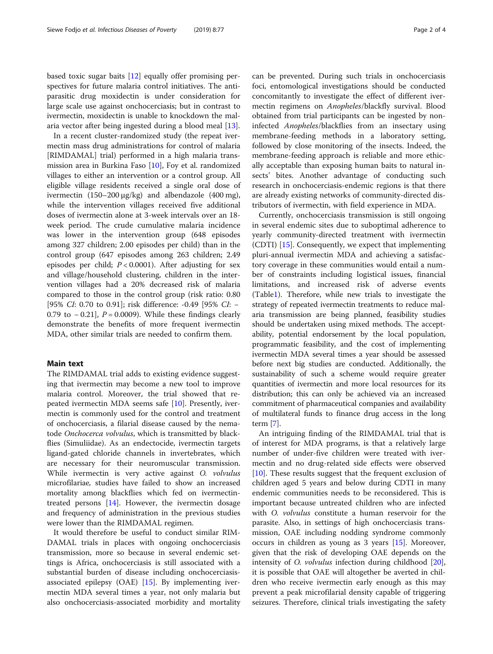based toxic sugar baits [[12\]](#page-3-0) equally offer promising perspectives for future malaria control initiatives. The antiparasitic drug moxidectin is under consideration for large scale use against onchocerciasis; but in contrast to ivermectin, moxidectin is unable to knockdown the malaria vector after being ingested during a blood meal [[13\]](#page-3-0).

In a recent cluster-randomized study (the repeat ivermectin mass drug administrations for control of malaria [RIMDAMAL] trial) performed in a high malaria transmission area in Burkina Faso [[10\]](#page-3-0), Foy et al. randomized villages to either an intervention or a control group. All eligible village residents received a single oral dose of ivermectin (150–200 μg/kg) and albendazole (400 mg), while the intervention villages received five additional doses of ivermectin alone at 3-week intervals over an 18 week period. The crude cumulative malaria incidence was lower in the intervention group (648 episodes among 327 children; 2.00 episodes per child) than in the control group (647 episodes among 263 children; 2.49 episodes per child;  $P < 0.0001$ ). After adjusting for sex and village/household clustering, children in the intervention villages had a 20% decreased risk of malaria compared to those in the control group (risk ratio: 0.80 [95% *CI*: 0.70 to 0.91]; risk difference: -0.49 [95% *CI*: − 0.79 to  $-$  0.21],  $P = 0.0009$ ). While these findings clearly demonstrate the benefits of more frequent ivermectin MDA, other similar trials are needed to confirm them.

#### Main text

The RIMDAMAL trial adds to existing evidence suggesting that ivermectin may become a new tool to improve malaria control. Moreover, the trial showed that repeated ivermectin MDA seems safe [\[10](#page-3-0)]. Presently, ivermectin is commonly used for the control and treatment of onchocerciasis, a filarial disease caused by the nematode Onchocerca volvulus, which is transmitted by blackflies (Simuliidae). As an endectocide, ivermectin targets ligand-gated chloride channels in invertebrates, which are necessary for their neuromuscular transmission. While ivermectin is very active against O. volvulus microfilariae, studies have failed to show an increased mortality among blackflies which fed on ivermectintreated persons [[14\]](#page-3-0). However, the ivermectin dosage and frequency of administration in the previous studies were lower than the RIMDAMAL regimen.

It would therefore be useful to conduct similar RIM-DAMAL trials in places with ongoing onchocerciasis transmission, more so because in several endemic settings is Africa, onchocerciasis is still associated with a substantial burden of disease including onchocerciasisassociated epilepsy (OAE) [[15\]](#page-3-0). By implementing ivermectin MDA several times a year, not only malaria but also onchocerciasis-associated morbidity and mortality can be prevented. During such trials in onchocerciasis foci, entomological investigations should be conducted concomitantly to investigate the effect of different ivermectin regimens on Anopheles/blackfly survival. Blood obtained from trial participants can be ingested by noninfected Anopheles/blackflies from an insectary using membrane-feeding methods in a laboratory setting, followed by close monitoring of the insects. Indeed, the membrane-feeding approach is reliable and more ethically acceptable than exposing human baits to natural insects' bites. Another advantage of conducting such research in onchocerciasis-endemic regions is that there are already existing networks of community-directed distributors of ivermectin, with field experience in MDA.

Currently, onchocerciasis transmission is still ongoing in several endemic sites due to suboptimal adherence to yearly community-directed treatment with ivermectin (CDTI) [[15\]](#page-3-0). Consequently, we expect that implementing pluri-annual ivermectin MDA and achieving a satisfactory coverage in these communities would entail a number of constraints including logistical issues, financial limitations, and increased risk of adverse events (Table[1\)](#page-2-0). Therefore, while new trials to investigate the strategy of repeated ivermectin treatments to reduce malaria transmission are being planned, feasibility studies should be undertaken using mixed methods. The acceptability, potential endorsement by the local population, programmatic feasibility, and the cost of implementing ivermectin MDA several times a year should be assessed before next big studies are conducted. Additionally, the sustainability of such a scheme would require greater quantities of ivermectin and more local resources for its distribution; this can only be achieved via an increased commitment of pharmaceutical companies and availability of multilateral funds to finance drug access in the long term [\[7](#page-3-0)].

An intriguing finding of the RIMDAMAL trial that is of interest for MDA programs, is that a relatively large number of under-five children were treated with ivermectin and no drug-related side effects were observed [[10\]](#page-3-0). These results suggest that the frequent exclusion of children aged 5 years and below during CDTI in many endemic communities needs to be reconsidered. This is important because untreated children who are infected with O. volvulus constitute a human reservoir for the parasite. Also, in settings of high onchocerciasis transmission, OAE including nodding syndrome commonly occurs in children as young as 3 years [\[15\]](#page-3-0). Moreover, given that the risk of developing OAE depends on the intensity of O. volvulus infection during childhood [\[20](#page-3-0)], it is possible that OAE will altogether be averted in children who receive ivermectin early enough as this may prevent a peak microfilarial density capable of triggering seizures. Therefore, clinical trials investigating the safety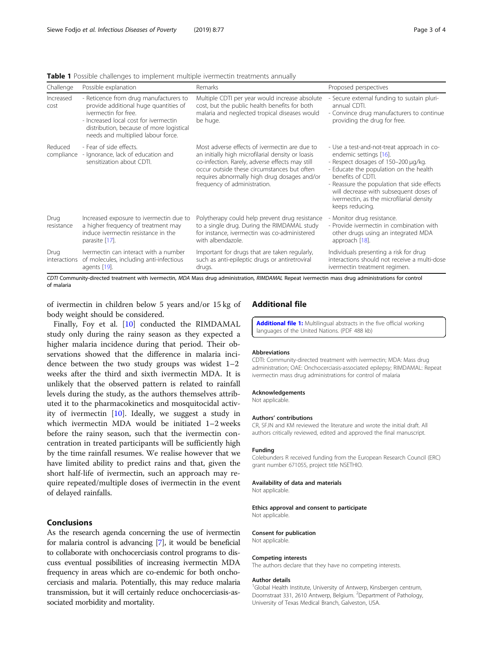<span id="page-2-0"></span>Table 1 Possible challenges to implement multiple ivermectin treatments annually

| Challenge             | Possible explanation                                                                                                                                                                                                               | Remarks                                                                                                                                                                                                                                                                              | Proposed perspectives                                                                                                                                                                                                                                                                                                              |
|-----------------------|------------------------------------------------------------------------------------------------------------------------------------------------------------------------------------------------------------------------------------|--------------------------------------------------------------------------------------------------------------------------------------------------------------------------------------------------------------------------------------------------------------------------------------|------------------------------------------------------------------------------------------------------------------------------------------------------------------------------------------------------------------------------------------------------------------------------------------------------------------------------------|
| Increased<br>cost     | - Reticence from drug manufacturers to<br>provide additional huge quantities of<br>ivermectin for free.<br>- Increased local cost for ivermectin<br>distribution, because of more logistical<br>needs and multiplied labour force. | Multiple CDTI per year would increase absolute<br>cost, but the public health benefits for both<br>malaria and neglected tropical diseases would<br>be huge.                                                                                                                         | - Secure external funding to sustain pluri-<br>annual CDTI.<br>- Convince drug manufacturers to continue<br>providing the drug for free.                                                                                                                                                                                           |
| Reduced<br>compliance | - Fear of side effects.<br>- Ignorance, lack of education and<br>sensitization about CDTI.                                                                                                                                         | Most adverse effects of ivermectin are due to<br>an initially high microfilarial density or loasis<br>co-infection. Rarely, adverse effects may still<br>occur outside these circumstances but often<br>requires abnormally high drug dosages and/or<br>frequency of administration. | - Use a test-and-not-treat approach in co-<br>endemic settings [16].<br>- Respect dosages of 150-200 µg/kg.<br>- Educate the population on the health<br>benefits of CDTI.<br>- Reassure the population that side effects<br>will decrease with subsequent doses of<br>ivermectin, as the microfilarial density<br>keeps reducing. |
| Drug<br>resistance    | Increased exposure to ivermectin due to<br>a higher frequency of treatment may<br>induce ivermectin resistance in the<br>parasite [17].                                                                                            | Polytherapy could help prevent drug resistance<br>to a single drug. During the RIMDAMAL study<br>for instance, ivermectin was co-administered<br>with albendazole.                                                                                                                   | - Monitor drug resistance.<br>- Provide ivermectin in combination with<br>other drugs using an integrated MDA<br>approach [18].                                                                                                                                                                                                    |
| Drug<br>interactions  | Ivermectin can interact with a number<br>of molecules, including anti-infectious<br>agents [19].                                                                                                                                   | Important for drugs that are taken regularly,<br>such as anti-epileptic drugs or antiretroviral<br>drugs.                                                                                                                                                                            | Individuals presenting a risk for drug<br>interactions should not receive a multi-dose<br>ivermectin treatment regimen.                                                                                                                                                                                                            |

CDTI Community-directed treatment with ivermectin, MDA Mass drug administration, RIMDAMAL Repeat ivermectin mass drug administrations for control of malaria

of ivermectin in children below 5 years and/or 15 kg of body weight should be considered.

Finally, Foy et al. [[10\]](#page-3-0) conducted the RIMDAMAL study only during the rainy season as they expected a higher malaria incidence during that period. Their observations showed that the difference in malaria incidence between the two study groups was widest 1–2 weeks after the third and sixth ivermectin MDA. It is unlikely that the observed pattern is related to rainfall levels during the study, as the authors themselves attributed it to the pharmacokinetics and mosquitocidal activity of ivermectin  $[10]$  $[10]$ . Ideally, we suggest a study in which ivermectin MDA would be initiated 1–2 weeks before the rainy season, such that the ivermectin concentration in treated participants will be sufficiently high by the time rainfall resumes. We realise however that we have limited ability to predict rains and that, given the short half-life of ivermectin, such an approach may require repeated/multiple doses of ivermectin in the event of delayed rainfalls.

### Conclusions

As the research agenda concerning the use of ivermectin for malaria control is advancing [\[7\]](#page-3-0), it would be beneficial to collaborate with onchocerciasis control programs to discuss eventual possibilities of increasing ivermectin MDA frequency in areas which are co-endemic for both onchocerciasis and malaria. Potentially, this may reduce malaria transmission, but it will certainly reduce onchocerciasis-associated morbidity and mortality.

## Additional file

[Additional file 1:](https://doi.org/10.1186/s40249-019-0588-7) Multilingual abstracts in the five official working languages of the United Nations. (PDF 488 kb)

#### Abbreviations

CDTI: Community-directed treatment with ivermectin; MDA: Mass drug administration; OAE: Onchocerciasis-associated epilepsy; RIMDAMAL: Repeat ivermectin mass drug administrations for control of malaria

#### Acknowledgements

Not applicable.

#### Authors' contributions

CR, SFJN and KM reviewed the literature and wrote the initial draft. All authors critically reviewed, edited and approved the final manuscript.

#### Funding

Colebunders R received funding from the European Research Council (ERC) grant number 671055, project title NSETHIO.

#### Availability of data and materials

Not applicable

Ethics approval and consent to participate Not applicable.

#### Consent for publication

Not applicable.

#### Competing interests

The authors declare that they have no competing interests.

#### Author details

<sup>1</sup>Global Health Institute, University of Antwerp, Kinsbergen centrum, Doornstraat 331, 2610 Antwerp, Belgium. <sup>2</sup>Department of Pathology, University of Texas Medical Branch, Galveston, USA.